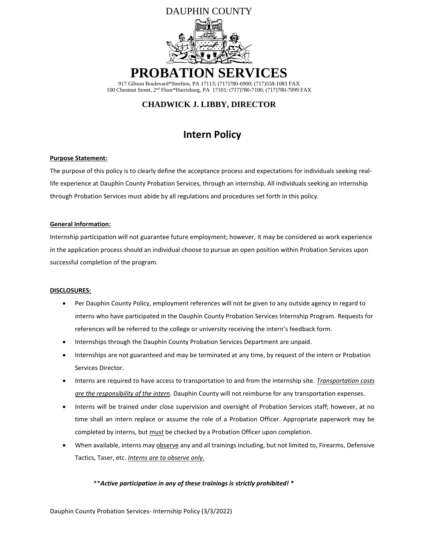

100 Chestnut Street, 2nd Floor\*Harrisburg, PA 17101; (717)780-7100; (717)780-7099 FAX

### **CHADWICK J. LIBBY, DIRECTOR**

# **Intern Policy**

#### **Purpose Statement:**

The purpose of this policy is to clearly define the acceptance process and expectations for individuals seeking reallife experience at Dauphin County Probation Services, through an internship. All individuals seeking an internship through Probation Services must abide by all regulations and procedures set forth in this policy.

#### **General Information:**

Internship participation will not guarantee future employment; however, it may be considered as work experience in the application process should an individual choose to pursue an open position within Probation Services upon successful completion of the program.

#### **DISCLOSURES:**

- Per Dauphin County Policy, employment references will not be given to any outside agency in regard to interns who have participated in the Dauphin County Probation Services Internship Program. Requests for references will be referred to the college or university receiving the intern's feedback form.
- Internships through the Dauphin County Probation Services Department are unpaid.
- Internships are not guaranteed and may be terminated at any time, by request of the intern or Probation Services Director.
- Interns are required to have access to transportation to and from the internship site. *Transportation costs are the responsibility of the intern*. Dauphin County will not reimburse for any transportation expenses.
- Interns will be trained under close supervision and oversight of Probation Services staff; however, at no time shall an intern replace or assume the role of a Probation Officer. Appropriate paperwork may be completed by interns, but must be checked by a Probation Officer upon completion.
- When available, interns may observe any and all trainings including, but not limited to, Firearms, Defensive Tactics, Taser, etc. *Interns are to observe only*.

#### \*\**Active participation in any of these trainings is strictly prohibited! \**

Dauphin County Probation Services- Internship Policy (3/3/2022)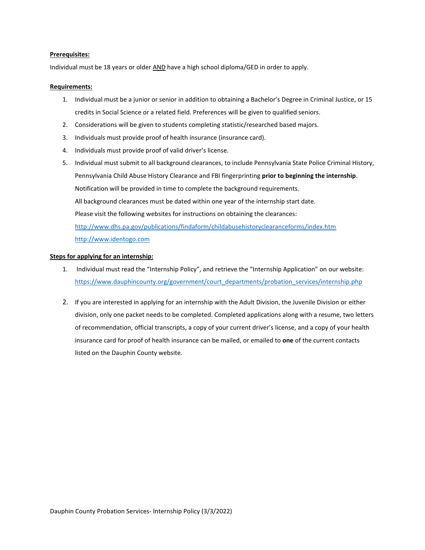#### **Prerequisites:**

Individual must be 18 years or older AND have a high school diploma/GED in order to apply.

#### **Requirements:**

- 1. Individual must be a junior or senior in addition to obtaining a Bachelor's Degree in Criminal Justice, or 15 credits in Social Science or a related field. Preferences will be given to qualified seniors.
- 2. Considerations will be given to students completing statistic/researched based majors.
- 3. Individuals must provide proof of health insurance (insurance card).
- 4. Individuals must provide proof of valid driver's license.
- 5. Individual must submit to all background clearances, to include Pennsylvania State Police Criminal History, Pennsylvania Child Abuse History Clearance and FBI fingerprinting **prior to beginning the internship**. Notification will be provided in time to complete the background requirements. All background clearances must be dated within one year of the internship start date. Please visit the following websites for instructions on obtaining the clearances: <http://www.dhs.pa.gov/publications/findaform/childabusehistoryclearanceforms/index.htm> [http://www.identogo.com](http://www.identogo.com/)

#### **Steps for applying for an internship:**

- 1. Individual must read the "Internship Policy", and retrieve the "Internship Application" on our website: [https://www.dauphincounty.org/government/court\\_departments/probation\\_services/internship.php](https://www.dauphincounty.org/government/court_departments/probation_services/internship.php)
- 2. If you are interested in applying for an internship with the Adult Division, the Juvenile Division or either division, only one packet needs to be completed. Completed applications along with a resume, two letters of recommendation, official transcripts, a copy of your current driver's license, and a copy of your health insurance card for proof of health insurance can be mailed, or emailed to **one** of the current contacts listed on the Dauphin County website.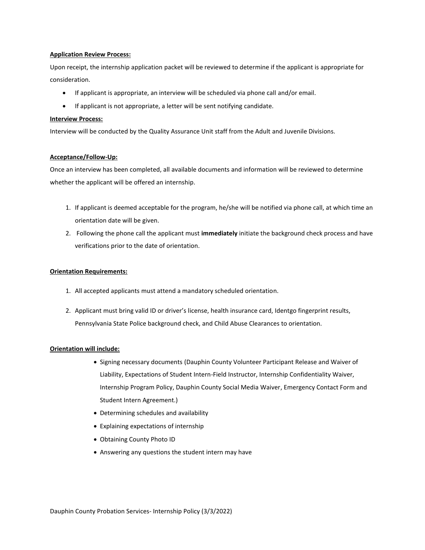#### **Application Review Process:**

Upon receipt, the internship application packet will be reviewed to determine if the applicant is appropriate for consideration.

- If applicant is appropriate, an interview will be scheduled via phone call and/or email.
- If applicant is not appropriate, a letter will be sent notifying candidate.

#### **Interview Process:**

Interview will be conducted by the Quality Assurance Unit staff from the Adult and Juvenile Divisions.

#### **Acceptance/Follow-Up:**

Once an interview has been completed, all available documents and information will be reviewed to determine whether the applicant will be offered an internship.

- 1. If applicant is deemed acceptable for the program, he/she will be notified via phone call, at which time an orientation date will be given.
- 2. Following the phone call the applicant must **immediately** initiate the background check process and have verifications prior to the date of orientation.

#### **Orientation Requirements:**

- 1. All accepted applicants must attend a mandatory scheduled orientation.
- 2. Applicant must bring valid ID or driver's license, health insurance card, Identgo fingerprint results, Pennsylvania State Police background check, and Child Abuse Clearances to orientation.

#### **Orientation will include:**

- Signing necessary documents (Dauphin County Volunteer Participant Release and Waiver of Liability, Expectations of Student Intern-Field Instructor, Internship Confidentiality Waiver, Internship Program Policy, Dauphin County Social Media Waiver, Emergency Contact Form and Student Intern Agreement.)
- Determining schedules and availability
- Explaining expectations of internship
- Obtaining County Photo ID
- Answering any questions the student intern may have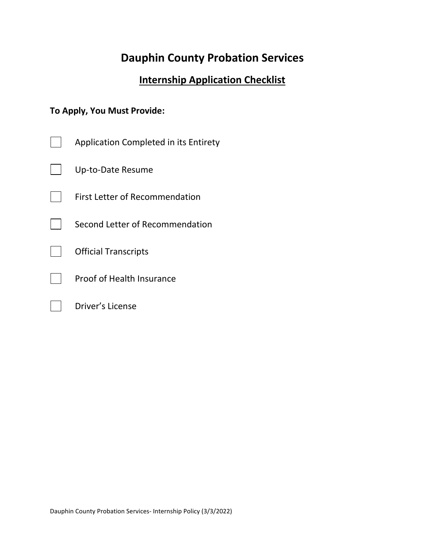# **Dauphin County Probation Services**

# **Internship Application Checklist**

# **To Apply, You Must Provide:**

Driver's License

 $\blacksquare$ 

| Application Completed in its Entirety |
|---------------------------------------|
| Up-to-Date Resume                     |
| <b>First Letter of Recommendation</b> |
| Second Letter of Recommendation       |
| <b>Official Transcripts</b>           |
| <b>Proof of Health Insurance</b>      |
|                                       |